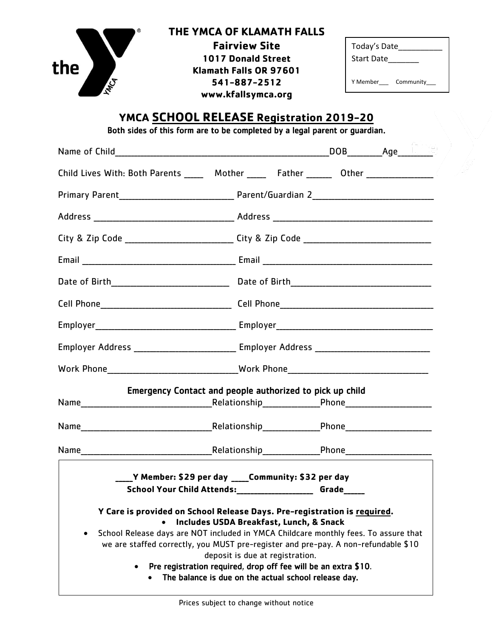

## **THE YMCA OF KLAMATH FALLS**

 **Klamath Falls OR 97601 Fairview Site 1017 Donald Street 541-887-2512 www.kfallsymca.org**

| Today's Date<br><b>Start Date</b> |           |  |
|-----------------------------------|-----------|--|
| Y Memher                          | Community |  |

## **YMCA SCHOOL RELEASE Registration 2019-20**

Both sides of this form are to be completed by a legal parent or guardian.

| Child Lives With: Both Parents _____ Mother _____ Father ______ Other ___________                                                                                                                                                                                                                                                                                                                                                                             |  |  |  |  |
|---------------------------------------------------------------------------------------------------------------------------------------------------------------------------------------------------------------------------------------------------------------------------------------------------------------------------------------------------------------------------------------------------------------------------------------------------------------|--|--|--|--|
|                                                                                                                                                                                                                                                                                                                                                                                                                                                               |  |  |  |  |
|                                                                                                                                                                                                                                                                                                                                                                                                                                                               |  |  |  |  |
| City & Zip Code _________________________________City & Zip Code ___________________________________                                                                                                                                                                                                                                                                                                                                                          |  |  |  |  |
|                                                                                                                                                                                                                                                                                                                                                                                                                                                               |  |  |  |  |
|                                                                                                                                                                                                                                                                                                                                                                                                                                                               |  |  |  |  |
|                                                                                                                                                                                                                                                                                                                                                                                                                                                               |  |  |  |  |
|                                                                                                                                                                                                                                                                                                                                                                                                                                                               |  |  |  |  |
| Employer Address ________________________________ Employer Address ________________________________                                                                                                                                                                                                                                                                                                                                                           |  |  |  |  |
|                                                                                                                                                                                                                                                                                                                                                                                                                                                               |  |  |  |  |
| Emergency Contact and people authorized to pick up child                                                                                                                                                                                                                                                                                                                                                                                                      |  |  |  |  |
|                                                                                                                                                                                                                                                                                                                                                                                                                                                               |  |  |  |  |
|                                                                                                                                                                                                                                                                                                                                                                                                                                                               |  |  |  |  |
|                                                                                                                                                                                                                                                                                                                                                                                                                                                               |  |  |  |  |
| ____Y Member: \$29 per day ____Community: \$32 per day<br>School Your Child Attends: _____________________ Grade_____                                                                                                                                                                                                                                                                                                                                         |  |  |  |  |
| Y Care is provided on School Release Days. Pre-registration is required.<br>Includes USDA Breakfast, Lunch, & Snack<br>School Release days are NOT included in YMCA Childcare monthly fees. To assure that<br>we are staffed correctly, you MUST pre-register and pre-pay. A non-refundable \$10<br>deposit is due at registration.<br>Pre registration required, drop off fee will be an extra \$10.<br>The balance is due on the actual school release day. |  |  |  |  |